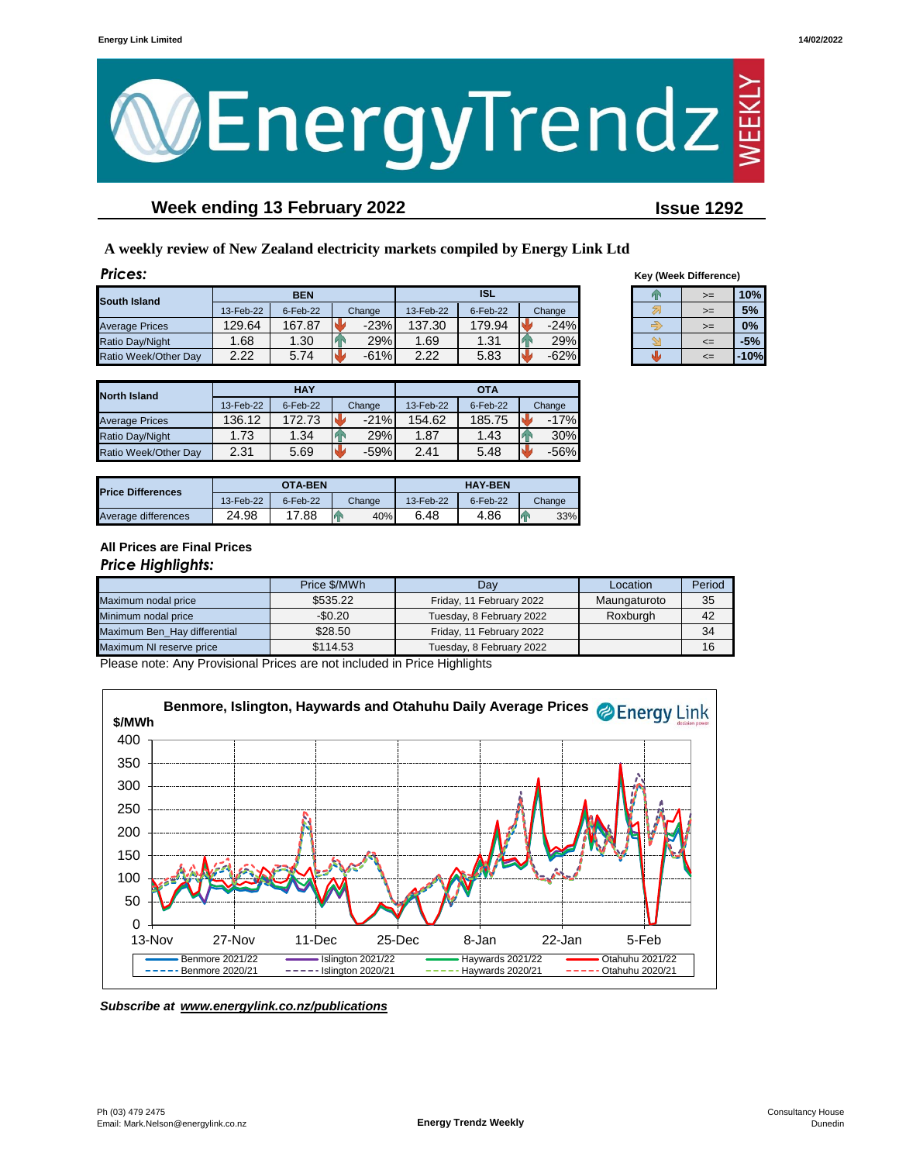

# **Week ending 13 February 2022 Issue 1292**

**A weekly review of New Zealand electricity markets compiled by Energy Link Ltd**

| <b>Prices:</b>        |           |            |        |           |            |        |    | <b>Key (Week Difference)</b> |        |
|-----------------------|-----------|------------|--------|-----------|------------|--------|----|------------------------------|--------|
| South Island          |           | <b>BEN</b> |        |           | <b>ISL</b> |        | Þх | $>=$                         | 10%    |
|                       | 13-Feb-22 | 6-Feb-22   | Change | 13-Feb-22 | 6-Feb-22   | Change |    | $>=$                         | 5%     |
| <b>Average Prices</b> | 129.64    | 167.87     | $-23%$ | 137.30    | 179.94     | $-24%$ |    | $>=$                         | 0%     |
| Ratio Day/Night       | .68       | 1.30       | 29%    | .69       | 1.31       | 29%    |    | $\leq$                       | $-5%$  |
| Ratio Week/Other Day  | 2.22      | 5.74       | $-61%$ | 2.22      | 5.83       | $-62%$ |    | $\leq$                       | $-10%$ |

| <b>Key (Week Difference)</b> |      |       |  |  |  |  |
|------------------------------|------|-------|--|--|--|--|
|                              | >=   | 10%   |  |  |  |  |
|                              | $>=$ | 5%    |  |  |  |  |
|                              | >=   | 0%    |  |  |  |  |
|                              | <=   | $-5%$ |  |  |  |  |
|                              |      | 10%   |  |  |  |  |

| <b>North Island</b>   |           | <b>HAY</b> |        | <b>OTA</b> |          |        |  |
|-----------------------|-----------|------------|--------|------------|----------|--------|--|
|                       | 13-Feb-22 | 6-Feb-22   | Change | 13-Feb-22  | 6-Feb-22 | Change |  |
| <b>Average Prices</b> | 136.12    | 172.73     | $-21%$ | 154.62     | 185.75   | $-17%$ |  |
| Ratio Day/Night       | 1.73      | 1.34       | 29%    | 1.87       | 1.43     | 30%    |  |
| Ratio Week/Other Day  | 2.31      | 5.69       | $-59%$ | 2.41       | 5.48     | $-56%$ |  |

| <b>Price Differences</b> |           | OTA-BEN     |        | <b>HAY-BEN</b> |          |          |  |
|--------------------------|-----------|-------------|--------|----------------|----------|----------|--|
|                          | 13-Feb-22 | $6$ -Feb-22 | Change | 13-Feb-22      | 6-Feb-22 | Change   |  |
| Average differences      | 24.98     | 17.88       | 40%    | 6.48           | 4.86     | 33%<br>и |  |

### **All Prices are Final Prices** *Price Highlights:*

|                              | Price \$/MWh | Location<br>Dav          |              | Period |
|------------------------------|--------------|--------------------------|--------------|--------|
| Maximum nodal price          | \$535.22     | Friday, 11 February 2022 | Maungaturoto | 35     |
| Minimum nodal price          | $-$0.20$     | Tuesday, 8 February 2022 | Roxburgh     | 42     |
| Maximum Ben Hay differential | \$28.50      | Friday, 11 February 2022 |              | 34     |
| Maximum NI reserve price     | \$114.53     | Tuesday, 8 February 2022 |              | 16     |

Please note: Any Provisional Prices are not included in Price Highlights



*Subscribe at www.energylink.co.nz/publications*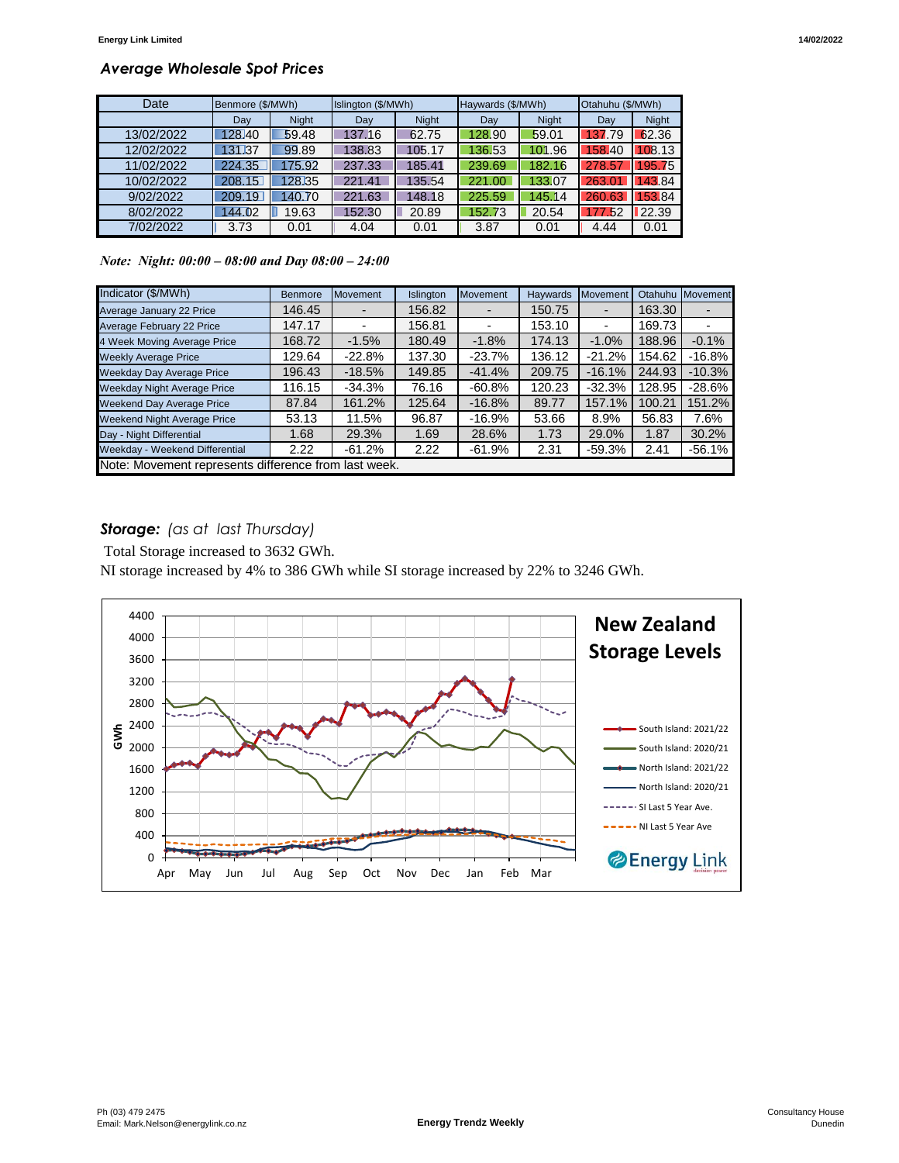### *Average Wholesale Spot Prices*

| Date       | Benmore (\$/MWh) |              | Islington (\$/MWh) |              | Haywards (\$/MWh) |              | Otahuhu (\$/MWh) |              |
|------------|------------------|--------------|--------------------|--------------|-------------------|--------------|------------------|--------------|
|            | Dav              | <b>Night</b> | Dav                | <b>Night</b> | Day               | <b>Night</b> | Day              | <b>Night</b> |
| 13/02/2022 | 128.40           | 59.48        | 137.16             | 62.75        | 128.90            | 59.01        | 137.79           | 62.36        |
| 12/02/2022 | 131.37           | 99.89        | 138.83             | 105.17       | 136.53            | 101.96       | 158.40           | 108.13       |
| 11/02/2022 | 224.35           | 175.92       | 237.33             | 185.41       | 239.69            | 182.16       | 278.57           | 195.75       |
| 10/02/2022 | 208.15           | 128.35       | 221.41             | 135.54       | 221.00            | 133.07       | 263.01           | 43.84        |
| 9/02/2022  | 209.19           | 140.70       | 221.63             | 148.18       | 225.59            | 145.14       | 260.63           | 153.84       |
| 8/02/2022  | 144.02           | 19.63        | 152.30             | 20.89        | 152.73            | 20.54        | 177.52           | 22.39        |
| 7/02/2022  | 3.73             | 0.01         | 4.04               | 0.01         | 3.87              | 0.01         | 4.44             | 0.01         |

*Note: Night: 00:00 – 08:00 and Day 08:00 – 24:00*

| Indicator (\$/MWh)                                   | <b>Benmore</b> | <b>Movement</b> | Islington | Movement  | <b>Havwards</b> | Movement       | Otahuhu | Movement |
|------------------------------------------------------|----------------|-----------------|-----------|-----------|-----------------|----------------|---------|----------|
| Average January 22 Price                             | 146.45         |                 | 156.82    |           | 150.75          |                | 163.30  |          |
| Average February 22 Price                            | 147.17         |                 | 156.81    | -         | 153.10          | $\blacksquare$ | 169.73  |          |
| 4 Week Moving Average Price                          | 168.72         | $-1.5%$         | 180.49    | $-1.8%$   | 174.13          | $-1.0%$        | 188.96  | $-0.1%$  |
| <b>Weekly Average Price</b>                          | 129.64         | $-22.8%$        | 137.30    | $-23.7%$  | 136.12          | $-21.2%$       | 154.62  | $-16.8%$ |
| <b>Weekday Day Average Price</b>                     | 196.43         | $-18.5%$        | 149.85    | $-41.4%$  | 209.75          | $-16.1%$       | 244.93  | $-10.3%$ |
| <b>Weekday Night Average Price</b>                   | 116.15         | $-34.3%$        | 76.16     | $-60.8\%$ | 120.23          | $-32.3%$       | 128.95  | $-28.6%$ |
| <b>Weekend Day Average Price</b>                     | 87.84          | 161.2%          | 125.64    | $-16.8%$  | 89.77           | 157.1%         | 100.21  | 151.2%   |
| <b>Weekend Night Average Price</b>                   | 53.13          | 11.5%           | 96.87     | -16.9%    | 53.66           | 8.9%           | 56.83   | 7.6%     |
| Day - Night Differential                             | 1.68           | 29.3%           | 1.69      | 28.6%     | 1.73            | 29.0%          | 1.87    | 30.2%    |
| Weekday - Weekend Differential                       | 2.22           | $-61.2%$        | 2.22      | -61.9%    | 2.31            | $-59.3%$       | 2.41    | $-56.1%$ |
| Note: Movement represents difference from last week. |                |                 |           |           |                 |                |         |          |

# *Storage: (as at last Thursday)*

Total Storage increased to 3632 GWh.

NI storage increased by 4% to 386 GWh while SI storage increased by 22% to 3246 GWh.

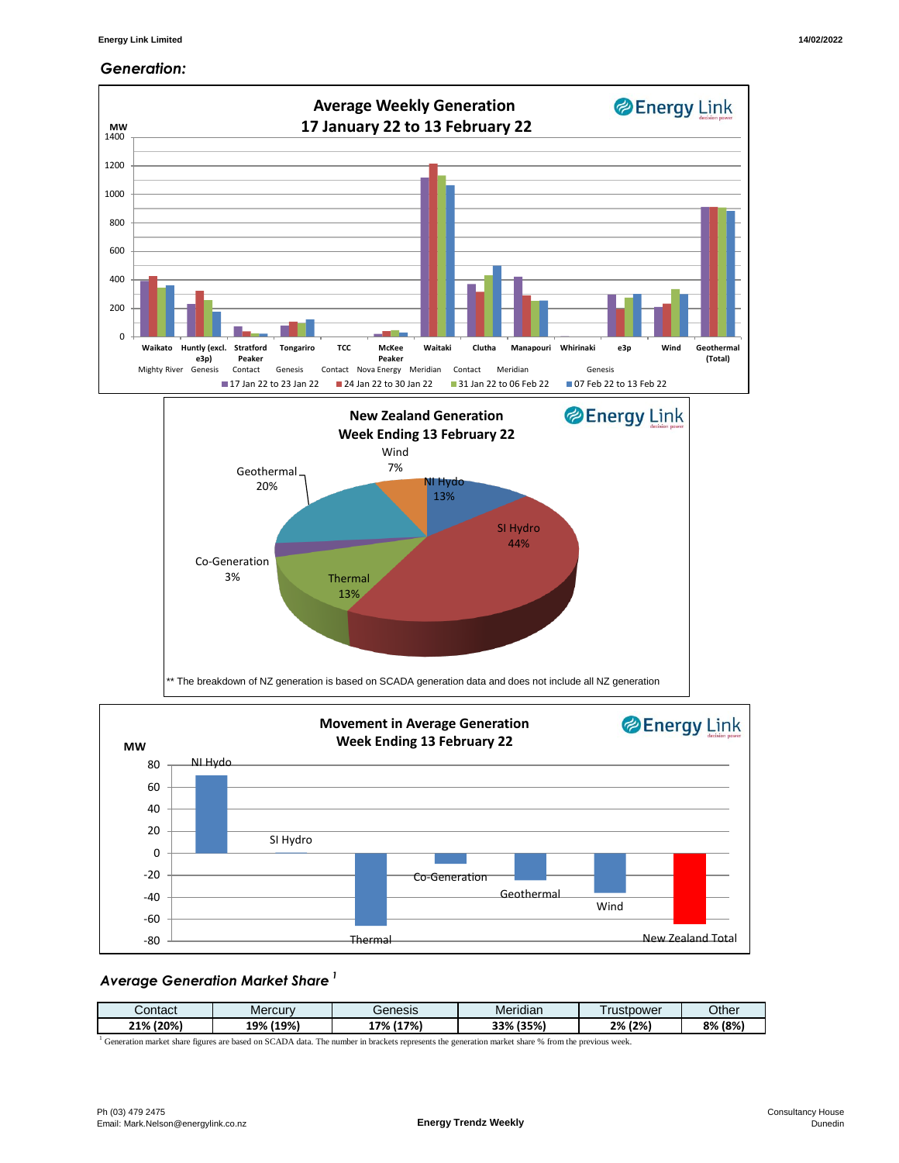#### *Generation:*



#### *Average Generation Market Share <sup>1</sup>*

| Contact     | Mercurv      | Genesis      | $\cdots$<br>Meridian | rustpower  | Other   |
|-------------|--------------|--------------|----------------------|------------|---------|
| (20%<br>21% | (19%)<br>19% | (17%)<br>-7% | (35%)<br>33%         | $2\%$ (2%) | 8% (8%) |

<sup>1</sup> Generation market share figures are based on SCADA data. The number in brackets represents the generation market share % from the previous week.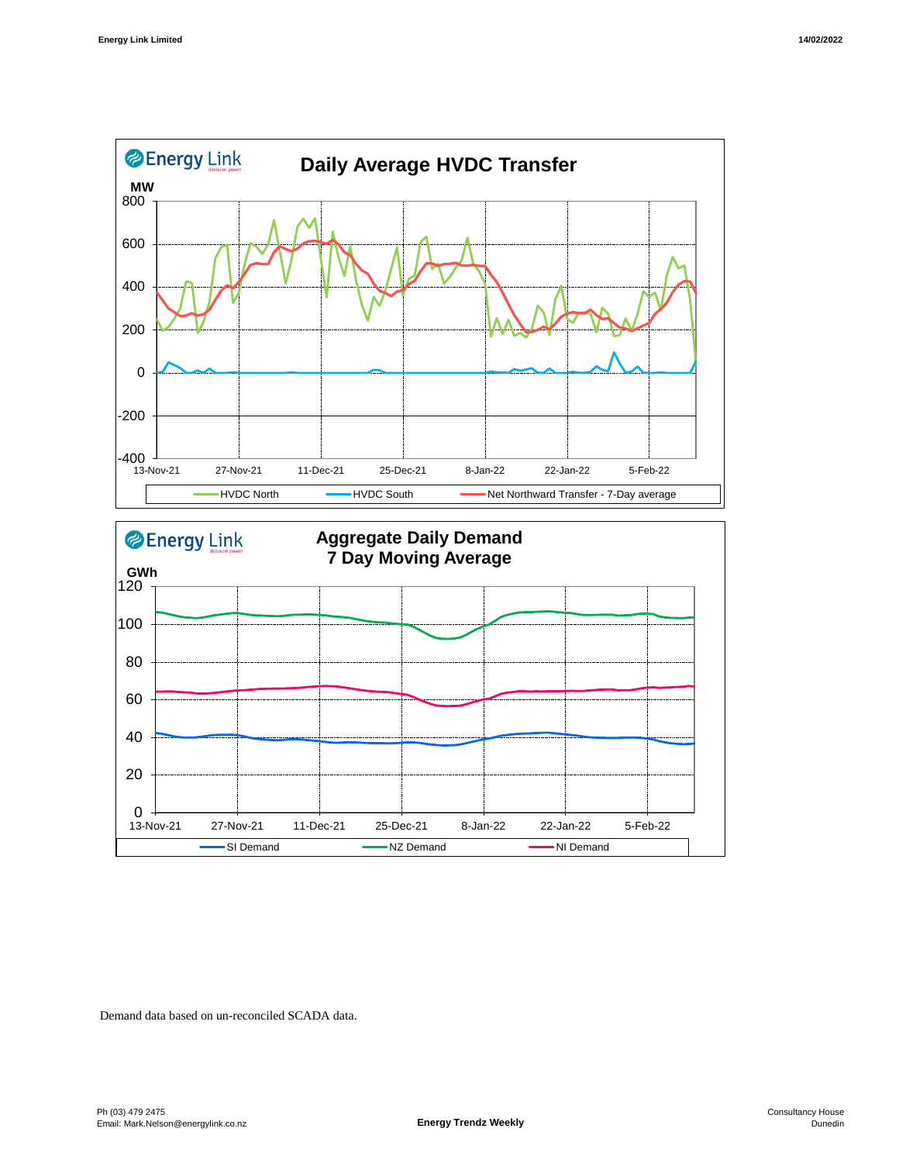



Demand data based on un-reconciled SCADA data.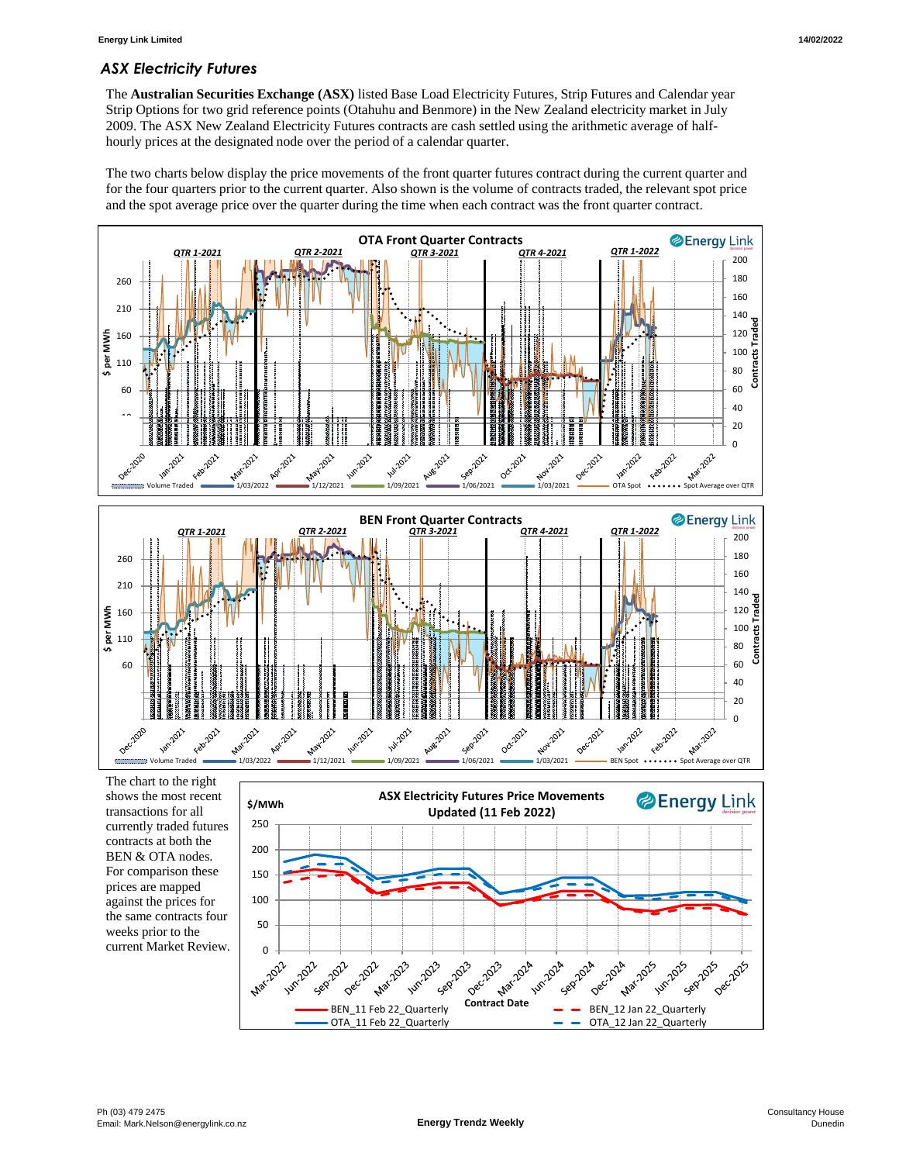# *ASX Electricity Futures*

The **Australian Securities Exchange (ASX)** listed Base Load Electricity Futures, Strip Futures and Calendar year Strip Options for two grid reference points (Otahuhu and Benmore) in the New Zealand electricity market in July 2009. The ASX New Zealand Electricity Futures contracts are cash settled using the arithmetic average of halfhourly prices at the designated node over the period of a calendar quarter.

The two charts below display the price movements of the front quarter futures contract during the current quarter and for the four quarters prior to the current quarter. Also shown is the volume of contracts traded, the relevant spot price and the spot average price over the quarter during the time when each contract was the front quarter contract.



The chart to the right shows the most recent transactions for all currently traded futures contracts at both the BEN & OTA nodes. For comparison these prices are mapped against the prices for the same contracts four weeks prior to the current Market Review.